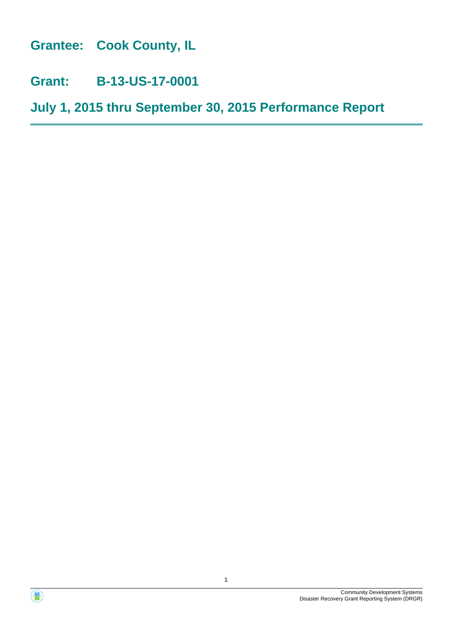**Grantee: Cook County, IL**

**Grant: B-13-US-17-0001**

**July 1, 2015 thru September 30, 2015 Performance Report**



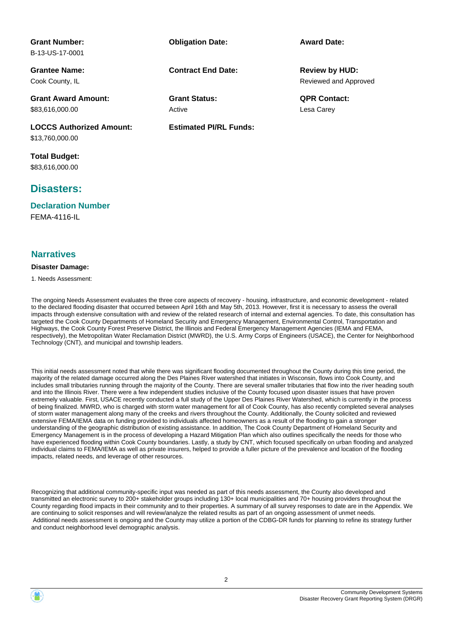| <b>Grant Number:</b>            | <b>Obligation Date:</b>       | <b>Award Date:</b>    |
|---------------------------------|-------------------------------|-----------------------|
| B-13-US-17-0001                 |                               |                       |
| <b>Grantee Name:</b>            | <b>Contract End Date:</b>     | <b>Review by HUD:</b> |
| Cook County, IL                 |                               | Reviewed and Approved |
| <b>Grant Award Amount:</b>      | <b>Grant Status:</b>          | <b>QPR Contact:</b>   |
| \$83,616,000.00                 | Active                        | Lesa Carey            |
| <b>LOCCS Authorized Amount:</b> | <b>Estimated PI/RL Funds:</b> |                       |
| \$13,760,000.00                 |                               |                       |
| Total Budget:                   |                               |                       |

\$83,616,000.00

## **Disasters:**

FEMA-4116-IL **Declaration Number**

## **Narratives**

### **Disaster Damage:**

1. Needs Assessment:

The ongoing Needs Assessment evaluates the three core aspects of recovery - housing, infrastructure, and economic development - related to the declared flooding disaster that occurred between April 16th and May 5th, 2013. However, first it is necessary to assess the overall impacts through extensive consultation with and review of the related research of internal and external agencies. To date, this consultation has targeted the Cook County Departments of Homeland Security and Emergency Management, Environmental Control, Transportation and Highways, the Cook County Forest Preserve District, the Illinois and Federal Emergency Management Agencies (IEMA and FEMA, respectively), the Metropolitan Water Reclamation District (MWRD), the U.S. Army Corps of Engineers (USACE), the Center for Neighborhood Technology (CNT), and municipal and township leaders.

This initial needs assessment noted that while there was significant flooding documented throughout the County during this time period, the majority of the related damage occurred along the Des Plaines River watershed that initiates in Wisconsin, flows into Cook County, and includes small tributaries running through the majority of the County. There are several smaller tributaries that flow into the river heading south and into the Illinois River. There were a few independent studies inclusive of the County focused upon disaster issues that have proven extremely valuable. First, USACE recently conducted a full study of the Upper Des Plaines River Watershed, which is currently in the process of being finalized. MWRD, who is charged with storm water management for all of Cook County, has also recently completed several analyses of storm water management along many of the creeks and rivers throughout the County. Additionally, the County solicited and reviewed extensive FEMA/IEMA data on funding provided to individuals affected homeowners as a result of the flooding to gain a stronger understanding of the geographic distribution of existing assistance. In addition, The Cook County Department of Homeland Security and Emergency Management is in the process of developing a Hazard Mitigation Plan which also outlines specifically the needs for those who have experienced flooding within Cook County boundaries. Lastly, a study by CNT, which focused specifically on urban flooding and analyzed individual claims to FEMA/IEMA as well as private insurers, helped to provide a fuller picture of the prevalence and location of the flooding impacts, related needs, and leverage of other resources.

Recognizing that additional community-specific input was needed as part of this needs assessment, the County also developed and transmitted an electronic survey to 200+ stakeholder groups including 130+ local municipalities and 70+ housing providers throughout the County regarding flood impacts in their community and to their properties. A summary of all survey responses to date are in the Appendix. We are continuing to solicit responses and will review/analyze the related results as part of an ongoing assessment of unmet needs. Additional needs assessment is ongoing and the County may utilize a portion of the CDBG-DR funds for planning to refine its strategy further and conduct neighborhood level demographic analysis.

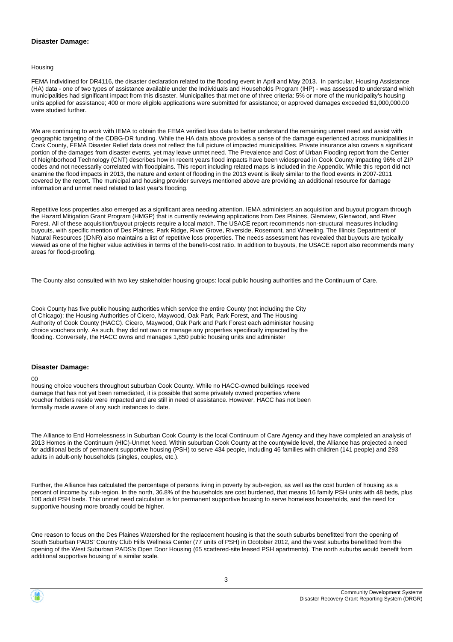### **Disaster Damage:**

Housing

FEMA Individined for DR4116, the disaster declaration related to the flooding event in April and May 2013. In particular, Housing Assistance (HA) data - one of two types of assistance available under the Individuals and Households Program (IHP) - was assessed to understand which municipalities had significant impact from this disaster. Municipalites that met one of three criteria: 5% or more of the municipality's housing units applied for assistance; 400 or more eligible applications were submitted for assistance; or approved damages exceeded \$1,000,000.00 were studied further.

We are continuing to work with IFMA to obtain the FFMA verified loss data to better understand the remaining unmet need and assist with geographic targeting of the CDBG-DR funding. While the HA data above provides a sense of the damage experienced across municipalities in Cook County, FEMA Disaster Relief data does not reflect the full picture of impacted municipalities. Private insurance also covers a significant portion of the damages from disaster events, yet may leave unmet need. The Prevalence and Cost of Urban Flooding report from the Center of Neighborhood Technology (CNT) describes how in recent years flood impacts have been widespread in Cook County impacting 96% of ZIP codes and not necessarily correlated with floodplains. This report including related maps is included in the Appendix. While this report did not examine the flood impacts in 2013, the nature and extent of flooding in the 2013 event is likely similar to the flood events in 2007-2011 covered by the report. The municipal and housing provider surveys mentioned above are providing an additional resource for damage information and unmet need related to last year's flooding.

Repetitive loss properties also emerged as a significant area needing attention. IEMA administers an acquisition and buyout program through the Hazard Mitigation Grant Program (HMGP) that is currently reviewing applications from Des Plaines, Glenview, Glenwood, and River Forest. All of these acquisition/buyout projects require a local match. The USACE report recommends non-structural measures including buyouts, with specific mention of Des Plaines, Park Ridge, River Grove, Riverside, Rosemont, and Wheeling. The Illinois Department of Natural Resources (IDNR) also maintains a list of repetitive loss properties. The needs assessment has revealed that buyouts are typically viewed as one of the higher value activities in terms of the benefit-cost ratio. In addition to buyouts, the USACE report also recommends many areas for flood-proofing.

The County also consulted with two key stakeholder housing groups: local public housing authorities and the Continuum of Care.

Cook County has five public housing authorities which service the entire County (not including the City of Chicago): the Housing Authorities of Cicero, Maywood, Oak Park, Park Forest, and The Housing Authority of Cook County (HACC). Cicero, Maywood, Oak Park and Park Forest each administer housing choice vouchers only. As such, they did not own or manage any properties specifically impacted by the flooding. Conversely, the HACC owns and manages 1,850 public housing units and administer

### **Disaster Damage:**

 $\Omega$ 

housing choice vouchers throughout suburban Cook County. While no HACC-owned buildings received damage that has not yet been remediated, it is possible that some privately owned properties where voucher holders reside were impacted and are still in need of assistance. However, HACC has not been formally made aware of any such instances to date.

The Alliance to End Homelessness in Suburban Cook County is the local Continuum of Care Agency and they have completed an analysis of 2013 Homes in the Continuum (HIC)-Unmet Need. Within suburban Cook County at the countywide level, the Alliance has projected a need for additional beds of permanent supportive housing (PSH) to serve 434 people, including 46 families with children (141 people) and 293 adults in adult-only households (singles, couples, etc.).

Further, the Alliance has calculated the percentage of persons living in poverty by sub-region, as well as the cost burden of housing as a percent of income by sub-region. In the north, 36.8% of the households are cost burdened, that means 16 family PSH units with 48 beds, plus 100 adult PSH beds. This unmet need calculation is for permanent supportive housing to serve homeless households, and the need for supportive housing more broadly could be higher.

One reason to focus on the Des Plaines Watershed for the replacement housing is that the south suburbs benefitted from the opening of South Suburban PADS' Country Club Hills Wellness Center (77 units of PSH) in Ocotober 2012, and the west suburbs benefitted from the opening of the West Suburban PADS's Open Door Housing (65 scattered-site leased PSH apartments). The north suburbs would benefit from additional supportive housing of a similar scale.

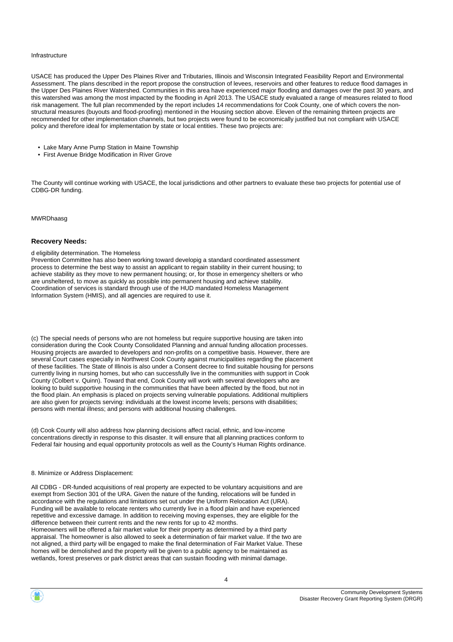#### Infrastructure

USACE has produced the Upper Des Plaines River and Tributaries, Illinois and Wisconsin Integrated Feasibility Report and Environmental Assessment. The plans described in the report propose the construction of levees, reservoirs and other features to reduce flood damages in the Upper Des Plaines River Watershed. Communities in this area have experienced major flooding and damages over the past 30 years, and this watershed was among the most impacted by the flooding in April 2013. The USACE study evaluated a range of measures related to flood risk management. The full plan recommended by the report includes 14 recommendations for Cook County, one of which covers the nonstructural measures (buyouts and flood-proofing) mentioned in the Housing section above. Eleven of the remaining thirteen projects are recommended for other implementation channels, but two projects were found to be economically justified but not compliant with USACE policy and therefore ideal for implementation by state or local entities. These two projects are:

- Lake Mary Anne Pump Station in Maine Township
- First Avenue Bridge Modification in River Grove

The County will continue working with USACE, the local jurisdictions and other partners to evaluate these two projects for potential use of CDBG-DR funding.

MWRDhaasg

### **Recovery Needs:**

### d eligibility determination. The Homeless

Prevention Committee has also been working toward developig a standard coordinated assessment process to determine the best way to assist an applicant to regain stability in their current housing; to achieve stability as they move to new permanent housing; or, for those in emergency shelters or who are unsheltered, to move as quickly as possible into permanent housing and achieve stability. Coordination of services is standard through use of the HUD mandated Homeless Management Information System (HMIS), and all agencies are required to use it.

(c) The special needs of persons who are not homeless but require supportive housing are taken into consideration during the Cook County Consolidated Planning and annual funding allocation processes. Housing projects are awarded to developers and non-profits on a competitive basis. However, there are several Court cases especially in Northwest Cook County against municipalities regarding the placement of these facilities. The State of Illinois is also under a Consent decree to find suitable housing for persons currently living in nursing homes, but who can successfully live in the communities with support in Cook County (Colbert v. Quinn). Toward that end, Cook County will work with several developers who are looking to build supportive housing in the communities that have been affected by the flood, but not in the flood plain. An emphasis is placed on projects serving vulnerable populations. Additional multipliers are also given for projects serving: individuals at the lowest income levels; persons with disabilities; persons with mental illness; and persons with additional housing challenges.

(d) Cook County will also address how planning decisions affect racial, ethnic, and low-income concentrations directly in response to this disaster. It will ensure that all planning practices conform to Federal fair housing and equal opportunity protocols as well as the County's Human Rights ordinance.

### 8. Minimize or Address Displacement:

All CDBG - DR-funded acquisitions of real property are expected to be voluntary acquisitions and are exempt from Section 301 of the URA. Given the nature of the funding, relocations will be funded in accordance with the regulations and limitations set out under the Uniform Relocation Act (URA). Funding will be available to relocate renters who currently live in a flood plain and have experienced repetitive and excessive damage. In addition to receiving moving expenses, they are eligible for the difference between their current rents and the new rents for up to 42 months. Homeowners will be offered a fair market value for their property as determined by a third party appraisal. The homeowner is also allowed to seek a determination of fair market value. If the two are not aligned, a third party will be engaged to make the final determination of Fair Market Value. These homes will be demolished and the property will be given to a public agency to be maintained as wetlands, forest preserves or park district areas that can sustain flooding with minimal damage.

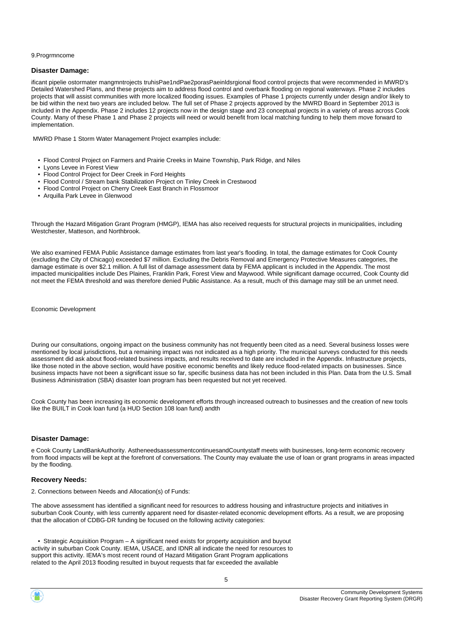#### 9.Progrmncome

### **Disaster Damage:**

ificant pipelie ostormater mangmntrojects truhisPae1ndPae2porasPaeinldsrgional flood control projects that were recommended in MWRD's Detailed Watershed Plans, and these projects aim to address flood control and overbank flooding on regional waterways. Phase 2 includes projects that will assist communities with more localized flooding issues. Examples of Phase 1 projects currently under design and/or likely to be bid within the next two years are included below. The full set of Phase 2 projects approved by the MWRD Board in September 2013 is included in the Appendix. Phase 2 includes 12 projects now in the design stage and 23 conceptual projects in a variety of areas across Cook County. Many of these Phase 1 and Phase 2 projects will need or would benefit from local matching funding to help them move forward to implementation.

MWRD Phase 1 Storm Water Management Project examples include:

- Flood Control Project on Farmers and Prairie Creeks in Maine Township, Park Ridge, and Niles
- Lyons Levee in Forest View
- Flood Control Project for Deer Creek in Ford Heights
- Flood Control / Stream bank Stabilization Project on Tinley Creek in Crestwood
- Flood Control Project on Cherry Creek East Branch in Flossmoor
- Arquilla Park Levee in Glenwood

Through the Hazard Mitigation Grant Program (HMGP), IEMA has also received requests for structural projects in municipalities, including Westchester, Matteson, and Northbrook.

We also examined FEMA Public Assistance damage estimates from last year's flooding. In total, the damage estimates for Cook County (excluding the City of Chicago) exceeded \$7 million. Excluding the Debris Removal and Emergency Protective Measures categories, the damage estimate is over \$2.1 million. A full list of damage assessment data by FEMA applicant is included in the Appendix. The most impacted municipalities include Des Plaines, Franklin Park, Forest View and Maywood. While significant damage occurred, Cook County did not meet the FEMA threshold and was therefore denied Public Assistance. As a result, much of this damage may still be an unmet need.

Economic Development

During our consultations, ongoing impact on the business community has not frequently been cited as a need. Several business losses were mentioned by local jurisdictions, but a remaining impact was not indicated as a high priority. The municipal surveys conducted for this needs assessment did ask about flood-related business impacts, and results received to date are included in the Appendix. Infrastructure projects, like those noted in the above section, would have positive economic benefits and likely reduce flood-related impacts on businesses. Since business impacts have not been a significant issue so far, specific business data has not been included in this Plan. Data from the U.S. Small Business Administration (SBA) disaster loan program has been requested but not yet received.

Cook County has been increasing its economic development efforts through increased outreach to businesses and the creation of new tools like the BUILT in Cook loan fund (a HUD Section 108 loan fund) andth

### **Disaster Damage:**

e Cook County LandBankAuthority. AstheneedsassessmentcontinuesandCountystaff meets with businesses, long-term economic recovery from flood impacts will be kept at the forefront of conversations. The County may evaluate the use of loan or grant programs in areas impacted by the flooding.

### **Recovery Needs:**

2. Connections between Needs and Allocation(s) of Funds:

The above assessment has identified a significant need for resources to address housing and infrastructure projects and initiatives in suburban Cook County, with less currently apparent need for disaster-related economic development efforts. As a result, we are proposing that the allocation of CDBG-DR funding be focused on the following activity categories:

 • Strategic Acquisition Program – A significant need exists for property acquisition and buyout activity in suburban Cook County. IEMA, USACE, and IDNR all indicate the need for resources to support this activity. IEMA's most recent round of Hazard Mitigation Grant Program applications related to the April 2013 flooding resulted in buyout requests that far exceeded the available

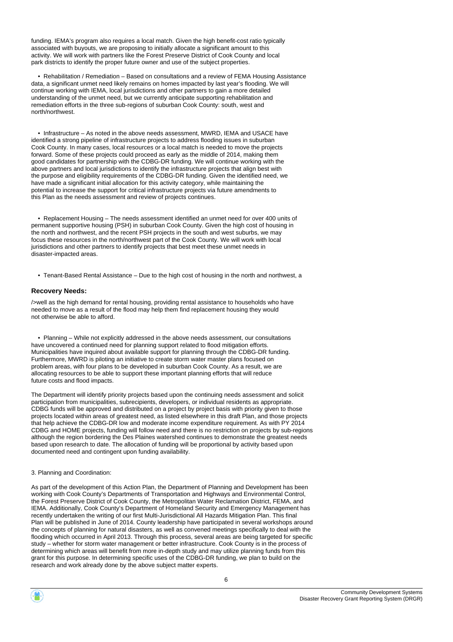funding. IEMA's program also requires a local match. Given the high benefit-cost ratio typically associated with buyouts, we are proposing to initially allocate a significant amount to this activity. We will work with partners like the Forest Preserve District of Cook County and local park districts to identify the proper future owner and use of the subject properties.

 • Rehabilitation / Remediation – Based on consultations and a review of FEMA Housing Assistance data, a significant unmet need likely remains on homes impacted by last year's flooding. We will continue working with IEMA, local jurisdictions and other partners to gain a more detailed understanding of the unmet need, but we currently anticipate supporting rehabilitation and remediation efforts in the three sub-regions of suburban Cook County: south, west and north/northwest.

 • Infrastructure – As noted in the above needs assessment, MWRD, IEMA and USACE have identified a strong pipeline of infrastructure projects to address flooding issues in suburban Cook County. In many cases, local resources or a local match is needed to move the projects forward. Some of these projects could proceed as early as the middle of 2014, making them good candidates for partnership with the CDBG-DR funding. We will continue working with the above partners and local jurisdictions to identify the infrastructure projects that align best with the purpose and eligibility requirements of the CDBG-DR funding. Given the identified need, we have made a significant initial allocation for this activity category, while maintaining the potential to increase the support for critical infrastructure projects via future amendments to this Plan as the needs assessment and review of projects continues.

 • Replacement Housing – The needs assessment identified an unmet need for over 400 units of permanent supportive housing (PSH) in suburban Cook County. Given the high cost of housing in the north and northwest, and the recent PSH projects in the south and west suburbs, we may focus these resources in the north/northwest part of the Cook County. We will work with local jurisdictions and other partners to identify projects that best meet these unmet needs in disaster-impacted areas.

• Tenant-Based Rental Assistance – Due to the high cost of housing in the north and northwest, a

### **Recovery Needs:**

/>well as the high demand for rental housing, providing rental assistance to households who have needed to move as a result of the flood may help them find replacement housing they would not otherwise be able to afford.

 • Planning – While not explicitly addressed in the above needs assessment, our consultations have uncovered a continued need for planning support related to flood mitigation efforts. Municipalities have inquired about available support for planning through the CDBG-DR funding. Furthermore, MWRD is piloting an initiative to create storm water master plans focused on problem areas, with four plans to be developed in suburban Cook County. As a result, we are allocating resources to be able to support these important planning efforts that will reduce future costs and flood impacts.

The Department will identify priority projects based upon the continuing needs assessment and solicit participation from municipalities, subrecipients, developers, or individual residents as appropriate. CDBG funds will be approved and distributed on a project by project basis with priority given to those projects located within areas of greatest need, as listed elsewhere in this draft Plan, and those projects that help achieve the CDBG-DR low and moderate income expenditure requirement. As with PY 2014 CDBG and HOME projects, funding will follow need and there is no restriction on projects by sub-regions although the region bordering the Des Plaines watershed continues to demonstrate the greatest needs based upon research to date. The allocation of funding will be proportional by activity based upon documented need and contingent upon funding availability.

### 3. Planning and Coordination:

As part of the development of this Action Plan, the Department of Planning and Development has been working with Cook County's Departments of Transportation and Highways and Environmental Control, the Forest Preserve District of Cook County, the Metropolitan Water Reclamation District, FEMA, and IEMA. Additionally, Cook County's Department of Homeland Security and Emergency Management has recently undertaken the writing of our first Multi-Jurisdictional All Hazards Mitigation Plan. This final Plan will be published in June of 2014. County leadership have participated in several workshops around the concepts of planning for natural disasters, as well as convened meetings specifically to deal with the flooding which occurred in April 2013. Through this process, several areas are being targeted for specific study – whether for storm water management or better infrastructure. Cook County is in the process of determining which areas will benefit from more in-depth study and may utilize planning funds from this grant for this purpose. In determining specific uses of the CDBG-DR funding, we plan to build on the research and work already done by the above subject matter experts.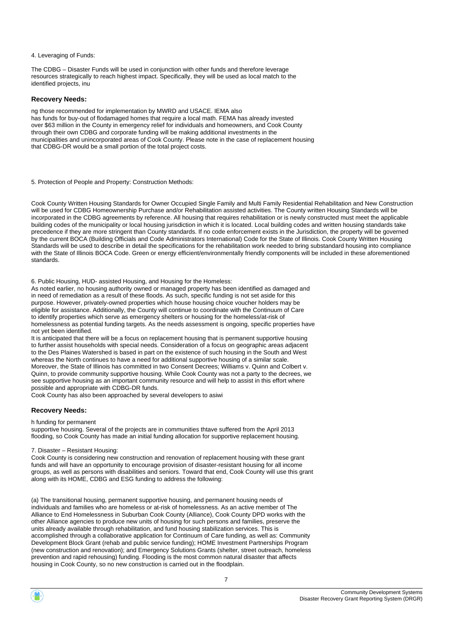4. Leveraging of Funds:

The CDBG – Disaster Funds will be used in conjunction with other funds and therefore leverage resources strategically to reach highest impact. Specifically, they will be used as local match to the identified projects, inu

### **Recovery Needs:**

ng those recommended for implementation by MWRD and USACE. IEMA also has funds for buy-out of flodamaged homes that require a local math. FEMA has already invested over \$63 million in the County in emergency relief for individuals and homeowners, and Cook County through their own CDBG and corporate funding will be making additional investments in the municipalities and unincorporated areas of Cook County. Please note in the case of replacement housing that CDBG-DR would be a small portion of the total project costs.

5. Protection of People and Property: Construction Methods:

Cook County Written Housing Standards for Owner Occupied Single Family and Multi Family Residential Rehabilitation and New Construction will be used for CDBG Homeownership Purchase and/or Rehabilitation assisted activities. The County written Housing Standards will be incorporated in the CDBG agreements by reference. All housing that requires rehabilitation or is newly constructed must meet the applicable building codes of the municipality or local housing jurisdiction in which it is located. Local building codes and written housing standards take precedence if they are more stringent than County standards. If no code enforcement exists in the Jurisdiction, the property will be governed by the current BOCA (Building Officials and Code Administrators International) Code for the State of Illinois. Cook County Written Housing Standards will be used to describe in detail the specifications for the rehabilitation work needed to bring substandard housing into compliance with the State of Illinois BOCA Code. Green or energy efficient/environmentally friendly components will be included in these aforementioned standards.

6. Public Housing, HUD- assisted Housing, and Housing for the Homeless:

As noted earlier, no housing authority owned or managed property has been identified as damaged and in need of remediation as a result of these floods. As such, specific funding is not set aside for this purpose. However, privately-owned properties which house housing choice voucher holders may be eligible for assistance. Additionally, the County will continue to coordinate with the Continuum of Care to identify properties which serve as emergency shelters or housing for the homeless/at-risk of homelessness as potential funding targets. As the needs assessment is ongoing, specific properties have not yet been identified.

It is anticipated that there will be a focus on replacement housing that is permanent supportive housing to further assist households with special needs. Consideration of a focus on geographic areas adjacent to the Des Plaines Watershed is based in part on the existence of such housing in the South and West whereas the North continues to have a need for additional supportive housing of a similar scale. Moreover, the State of Illinois has committed in two Consent Decrees; Williams v. Quinn and Colbert v. Quinn, to provide community supportive housing. While Cook County was not a party to the decrees, we see supportive housing as an important community resource and will help to assist in this effort where possible and appropriate with CDBG-DR funds.

Cook County has also been approached by several developers to asiwi

### **Recovery Needs:**

h funding for permanent

supportive housing. Several of the projects are in communities thtave suffered from the April 2013 flooding, so Cook County has made an initial funding allocation for supportive replacement housing.

### 7. Disaster – Resistant Housing:

Cook County is considering new construction and renovation of replacement housing with these grant funds and will have an opportunity to encourage provision of disaster-resistant housing for all income groups, as well as persons with disabilities and seniors. Toward that end, Cook County will use this grant along with its HOME, CDBG and ESG funding to address the following:

(a) The transitional housing, permanent supportive housing, and permanent housing needs of individuals and families who are homeless or at-risk of homelessness. As an active member of The Alliance to End Homelessness in Suburban Cook County (Alliance), Cook County DPD works with the other Alliance agencies to produce new units of housing for such persons and families, preserve the units already available through rehabilitation, and fund housing stabilization services. This is accomplished through a collaborative application for Continuum of Care funding, as well as: Community Development Block Grant (rehab and public service funding); HOME Investment Partnerships Program (new construction and renovation); and Emergency Solutions Grants (shelter, street outreach, homeless prevention and rapid rehousing) funding. Flooding is the most common natural disaster that affects housing in Cook County, so no new construction is carried out in the floodplain.

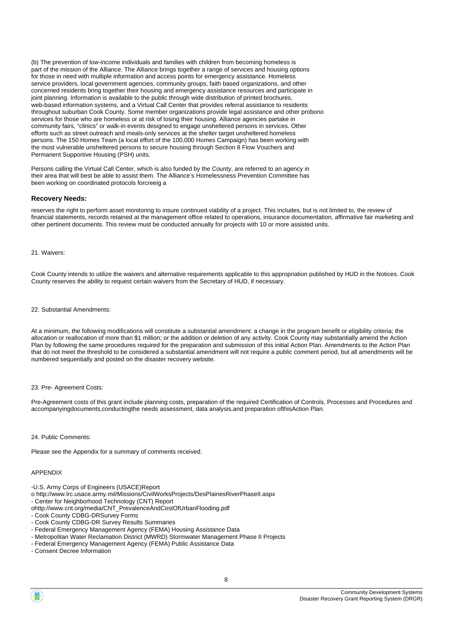(b) The prevention of low-income individuals and families with children from becoming homeless is part of the mission of the Alliance. The Alliance brings together a range of services and housing options for those in need with multiple information and access points for emergency assistance. Homeless service providers, local government agencies, community groups, faith based organizations, and other concerned residents bring together their housing and emergency assistance resources and participate in joint planning. Information is available to the public through wide distribution of printed brochures, web-based information systems, and a Virtual Call Center that provides referral assistance to residents throughout suburban Cook County. Some member organizations provide legal assistance and other probono services for those who are homeless or at risk of losing their housing. Alliance agencies partake in community fairs, "clinics" or walk-in events designed to engage unsheltered persons in services. Other efforts such as street outreach and meals-only services at the shelter target unsheltered homeless persons. The 150 Homes Team (a local effort of the 100,000 Homes Campaign) has been working with the most vulnerable unsheltered persons to secure housing through Section 8 Flow Vouchers and Permanent Supportive Housing (PSH) units.

Persons calling the Virtual Call Center, which is also funded by the County, are referred to an agency in their area that will best be able to assist them. The Alliance's Homelessness Prevention Committee has been working on coordinated protocols forcreeig a

### **Recovery Needs:**

reserves the right to perform asset monitoring to insure continued viability of a project. This includes, but is not limited to, the review of financial statements, records retained at the management office related to operations, insurance documentation, affirmative fair marketing and other pertinent documents. This review must be conducted annually for projects with 10 or more assisted units.

### 21. Waivers:

Cook County intends to utilize the waivers and alternative requirements applicable to this appropriation published by HUD in the Notices. Cook County reserves the ability to request certain waivers from the Secretary of HUD, if necessary.

### 22. Substantial Amendments:

At a minimum, the following modifications will constitute a substantial amendment: a change in the program benefit or eligibility criteria; the allocation or reallocation of more than \$1 million; or the addition or deletion of any activity. Cook County may substantially amend the Action Plan by following the same procedures required for the preparation and submission of this initial Action Plan. Amendments to the Action Plan that do not meet the threshold to be considered a substantial amendment will not require a public comment period, but all amendments will be numbered sequentially and posted on the disaster recovery website.

### 23. Pre- Agreement Costs:

Pre-Agreement costs of this grant include planning costs, preparation of the required Certification of Controls, Processes and Procedures and accompanyingdocuments,conductingthe needs assessment, data analysis,and preparation ofthisAction Plan.

#### 24. Public Comments:

Please see the Appendix for a summary of comments received.

### APPENDIX

- -U.S. Army Corps of Engineers (USACE)Report
- o http://www.lrc.usace.army.mil/Missions/CivilWorksProjects/DesPlainesRiverPhaseII.aspx
- Center for Neighborhood Technology (CNT) Report
- ohttp://www.cnt.org/media/CNT\_PrevalenceAndCostOfUrbanFlooding.pdf
- Cook County CDBG-DRSurvey Forms
- Cook County CDBG-DR Survey Results Summaries
- Federal Emergency Management Agency (FEMA) Housing Assistance Data
- Metropolitan Water Reclamation District (MWRD) Stormwater Management Phase II Projects
- Federal Emergency Management Agency (FEMA) Public Assistance Data
- Consent Decree Information

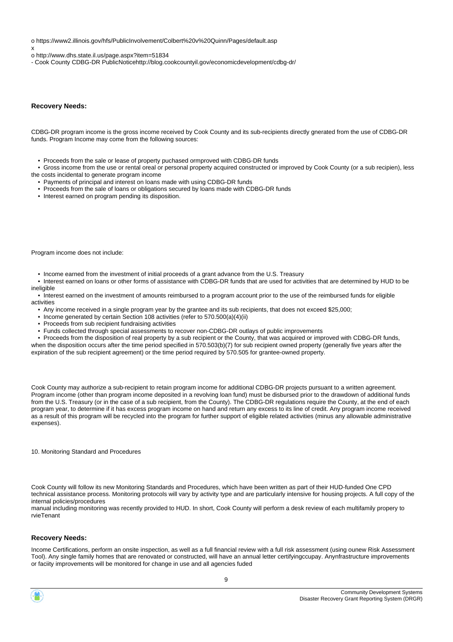o https://www2.illinois.gov/hfs/PublicInvolvement/Colbert%20v%20Quinn/Pages/default.asp

x

o http://www.dhs.state.il.us/page.aspx?item=51834

- Cook County CDBG-DR PublicNoticehttp://blog.cookcountyil.gov/economicdevelopment/cdbg-dr/

### **Recovery Needs:**

CDBG-DR program income is the gross income received by Cook County and its sub-recipients directly gnerated from the use of CDBG-DR funds. Program Income may come from the following sources:

- Proceeds from the sale or lease of property puchased ormproved with CDBG-DR funds
- Gross income from the use or rental oreal or personal property acquired constructed or improved by Cook County (or a sub recipien), less the costs incidental to generate program income
	- Payments of principal and interest on loans made with using CDBG-DR funds
	- Proceeds from the sale of loans or obligations secured by loans made with CDBG-DR funds
	- Interest earned on program pending its disposition.

Program income does not include:

• Income earned from the investment of initial proceeds of a grant advance from the U.S. Treasury

 • Interest earned on loans or other forms of assistance with CDBG-DR funds that are used for activities that are determined by HUD to be ineligible

 • Interest earned on the investment of amounts reimbursed to a program account prior to the use of the reimbursed funds for eligible activities

- Any income received in a single program year by the grantee and its sub recipients, that does not exceed \$25,000;
- Income generated by certain Section 108 activities (refer to 570.500(a)(4)(ii)
- Proceeds from sub recipient fundraising activities
- Funds collected through special assessments to recover non-CDBG-DR outlays of public improvements

 • Proceeds from the disposition of real property by a sub recipient or the County, that was acquired or improved with CDBG-DR funds, when the disposition occurs after the time period specified in 570.503(b)(7) for sub recipient owned property (generally five years after the expiration of the sub recipient agreement) or the time period required by 570.505 for grantee-owned property.

Cook County may authorize a sub-recipient to retain program income for additional CDBG-DR projects pursuant to a written agreement. Program income (other than program income deposited in a revolving loan fund) must be disbursed prior to the drawdown of additional funds from the U.S. Treasury (or in the case of a sub recipient, from the County). The CDBG-DR regulations require the County, at the end of each program year, to determine if it has excess program income on hand and return any excess to its line of credit. Any program income received as a result of this program will be recycled into the program for further support of eligible related activities (minus any allowable administrative expenses).

10. Monitoring Standard and Procedures

Cook County will follow its new Monitoring Standards and Procedures, which have been written as part of their HUD-funded One CPD technical assistance process. Monitoring protocols will vary by activity type and are particularly intensive for housing projects. A full copy of the internal policies/procedures

manual including monitoring was recently provided to HUD. In short, Cook County will perform a desk review of each multifamily propery to rvieTenant

### **Recovery Needs:**

Income Certifications, perform an onsite inspection, as well as a full financial review with a full risk assessment (using ounew Risk Assessment Tool). Any single family homes that are renovated or constructed, will have an annual letter certifyingccupay. Anynfrastructure improvements or faciity improvements will be monitored for change in use and all agencies fuded

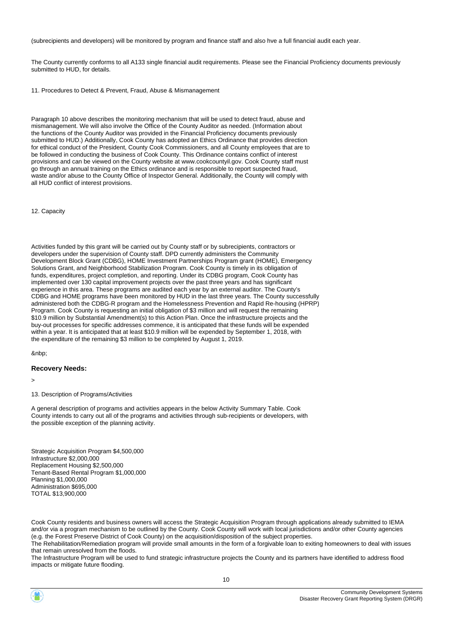(subrecipients and developers) will be monitored by program and finance staff and also hve a full financial audit each year.

The County currently conforms to all A133 single financial audit requirements. Please see the Financial Proficiency documents previously submitted to HUD, for details.

11. Procedures to Detect & Prevent, Fraud, Abuse & Mismanagement

Paragraph 10 above describes the monitoring mechanism that will be used to detect fraud, abuse and mismanagement. We will also involve the Office of the County Auditor as needed. (Information about the functions of the County Auditor was provided in the Financial Proficiency documents previously submitted to HUD.) Additionally, Cook County has adopted an Ethics Ordinance that provides direction for ethical conduct of the President, County Cook Commissioners, and all County employees that are to be followed in conducting the business of Cook County. This Ordinance contains conflict of interest provisions and can be viewed on the County website at www.cookcountyil.gov. Cook County staff must go through an annual training on the Ethics ordinance and is responsible to report suspected fraud, waste and/or abuse to the County Office of Inspector General. Additionally, the County will comply with all HUD conflict of interest provisions.

12. Capacity

Activities funded by this grant will be carried out by County staff or by subrecipients, contractors or developers under the supervision of County staff. DPD currently administers the Community Development Block Grant (CDBG), HOME Investment Partnerships Program grant (HOME), Emergency Solutions Grant, and Neighborhood Stabilization Program. Cook County is timely in its obligation of funds, expenditures, project completion, and reporting. Under its CDBG program, Cook County has implemented over 130 capital improvement projects over the past three years and has significant experience in this area. These programs are audited each year by an external auditor. The County's CDBG and HOME programs have been monitored by HUD in the last three years. The County successfully administered both the CDBG-R program and the Homelessness Prevention and Rapid Re-housing (HPRP) Program. Cook County is requesting an initial obligation of \$3 million and will request the remaining \$10.9 million by Substantial Amendment(s) to this Action Plan. Once the infrastructure projects and the buy-out processes for specific addresses commence, it is anticipated that these funds will be expended within a year. It is anticipated that at least \$10.9 million will be expended by September 1, 2018, with the expenditure of the remaining \$3 million to be completed by August 1, 2019.

&nbp;

### **Recovery Needs:**

>

13. Description of Programs/Activities

A general description of programs and activities appears in the below Activity Summary Table. Cook County intends to carry out all of the programs and activities through sub-recipients or developers, with the possible exception of the planning activity.

Strategic Acquisition Program \$4,500,000 Infrastructure \$2,000,000 Replacement Housing \$2,500,000 Tenant-Based Rental Program \$1,000,000 Planning \$1,000,000 Administration \$695,000 TOTAL \$13,900,000

Cook County residents and business owners will access the Strategic Acquisition Program through applications already submitted to IEMA and/or via a program mechanism to be outlined by the County. Cook County will work with local jurisdictions and/or other County agencies (e.g. the Forest Preserve District of Cook County) on the acquisition/disposition of the subject properties.

The Rehabilitation/Remediation program will provide small amounts in the form of a forgivable loan to exiting homeowners to deal with issues that remain unresolved from the floods.

10

The Infrastructure Program will be used to fund strategic infrastructure projects the County and its partners have identified to address flood impacts or mitigate future flooding.

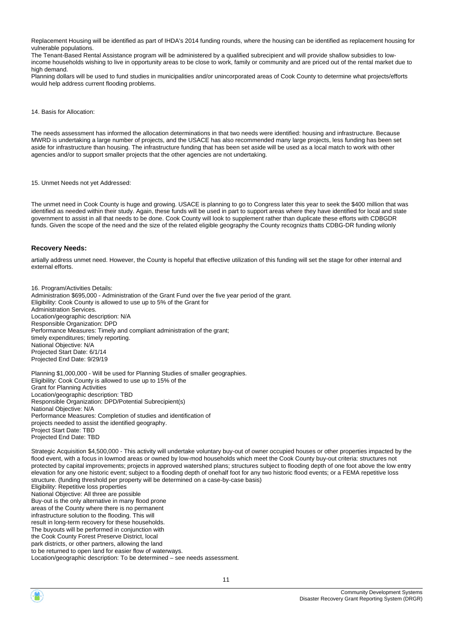Replacement Housing will be identified as part of IHDA's 2014 funding rounds, where the housing can be identified as replacement housing for vulnerable populations.

The Tenant-Based Rental Assistance program will be administered by a qualified subrecipient and will provide shallow subsidies to lowincome households wishing to live in opportunity areas to be close to work, family or community and are priced out of the rental market due to high demand.

Planning dollars will be used to fund studies in municipalities and/or unincorporated areas of Cook County to determine what projects/efforts would help address current flooding problems.

14. Basis for Allocation:

The needs assessment has informed the allocation determinations in that two needs were identified: housing and infrastructure. Because MWRD is undertaking a large number of projects, and the USACE has also recommended many large projects, less funding has been set aside for infrastructure than housing. The infrastructure funding that has been set aside will be used as a local match to work with other agencies and/or to support smaller projects that the other agencies are not undertaking.

15. Unmet Needs not yet Addressed:

The unmet need in Cook County is huge and growing. USACE is planning to go to Congress later this year to seek the \$400 million that was identified as needed within their study. Again, these funds will be used in part to support areas where they have identified for local and state government to assist in all that needs to be done. Cook County will look to supplement rather than duplicate these efforts with CDBGDR funds. Given the scope of the need and the size of the related eligible geography the County recognizs thatts CDBG-DR funding wilonly

### **Recovery Needs:**

artially address unmet need. However, the County is hopeful that effective utilization of this funding will set the stage for other internal and external efforts.

16. Program/Activities Details: Administration \$695,000 - Administration of the Grant Fund over the five year period of the grant. Eligibility: Cook County is allowed to use up to 5% of the Grant for Administration Services. Location/geographic description: N/A Responsible Organization: DPD Performance Measures: Timely and compliant administration of the grant; timely expenditures; timely reporting. National Objective: N/A Projected Start Date: 6/1/14 Projected End Date: 9/29/19

Planning \$1,000,000 - Will be used for Planning Studies of smaller geographies. Eligibility: Cook County is allowed to use up to 15% of the Grant for Planning Activities Location/geographic description: TBD Responsible Organization: DPD/Potential Subrecipient(s) National Objective: N/A Performance Measures: Completion of studies and identification of projects needed to assist the identified geography. Project Start Date: TBD Projected End Date: TBD

Strategic Acquisition \$4,500,000 - This activity will undertake voluntary buy-out of owner occupied houses or other properties impacted by the flood event, with a focus in lowmod areas or owned by low-mod households which meet the Cook County buy-out criteria: structures not protected by capital improvements; projects in approved watershed plans; structures subject to flooding depth of one foot above the low entry elevation for any one historic event; subject to a flooding depth of onehalf foot for any two historic flood events; or a FEMA repetitive loss structure. (funding threshold per property will be determined on a case-by-case basis) Eligibility: Repetitive loss properties National Objective: All three are possible

Buy-out is the only alternative in many flood prone areas of the County where there is no permanent infrastructure solution to the flooding. This will result in long-term recovery for these households. The buyouts will be performed in conjunction with the Cook County Forest Preserve District, local park districts, or other partners, allowing the land

to be returned to open land for easier flow of waterways.

Location/geographic description: To be determined – see needs assessment.

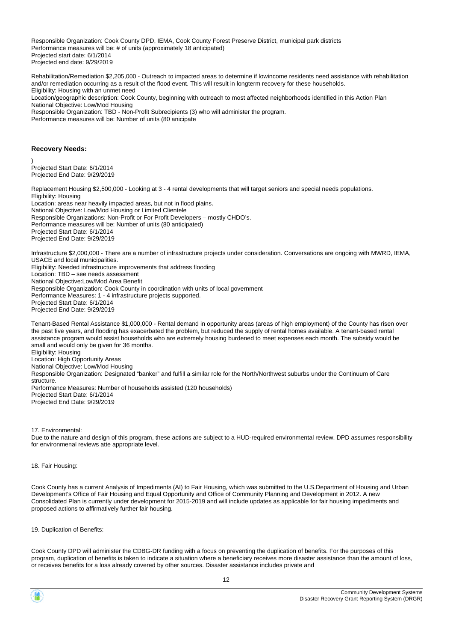Responsible Organization: Cook County DPD, IEMA, Cook County Forest Preserve District, municipal park districts Performance measures will be: # of units (approximately 18 anticipated) Projected start date: 6/1/2014 Projected end date: 9/29/2019

Rehabilitation/Remediation \$2,205,000 - Outreach to impacted areas to determine if lowincome residents need assistance with rehabilitation and/or remediation occurring as a result of the flood event. This will result in longterm recovery for these households. Eligibility: Housing with an unmet need Location/geographic description: Cook County, beginning with outreach to most affected neighborhoods identified in this Action Plan National Objective: Low/Mod Housing Responsible Organization: TBD - Non-Profit Subrecipients (3) who will administer the program. Performance measures will be: Number of units (80 anicipate

### **Recovery Needs:**

) Projected Start Date: 6/1/2014 Projected End Date: 9/29/2019

Replacement Housing \$2,500,000 - Looking at 3 - 4 rental developments that will target seniors and special needs populations. Eligibility: Housing Location: areas near heavily impacted areas, but not in flood plains. National Objective: Low/Mod Housing or Limited Clientele Responsible Organizations: Non-Profit or For Profit Developers – mostly CHDO's. Performance measures will be: Number of units (80 anticipated) Projected Start Date: 6/1/2014 Projected End Date: 9/29/2019

Infrastructure \$2,000,000 - There are a number of infrastructure projects under consideration. Conversations are ongoing with MWRD, IEMA, USACE and local municipalities. Eligibility: Needed infrastructure improvements that address flooding Location: TBD – see needs assessment National Objective:Low/Mod Area Benefit Responsible Organization: Cook County in coordination with units of local government Performance Measures: 1 - 4 infrastructure projects supported. Projected Start Date: 6/1/2014 Projected End Date: 9/29/2019

Tenant-Based Rental Assistance \$1,000,000 - Rental demand in opportunity areas (areas of high employment) of the County has risen over the past five years, and flooding has exacerbated the problem, but reduced the supply of rental homes available. A tenant-based rental assistance program would assist households who are extremely housing burdened to meet expenses each month. The subsidy would be small and would only be given for 36 months. Eligibility: Housing Location: High Opportunity Areas National Objective: Low/Mod Housing Responsible Organization: Designated "banker" and fulfill a similar role for the North/Northwest suburbs under the Continuum of Care structure. Performance Measures: Number of households assisted (120 households) Projected Start Date: 6/1/2014 Projected End Date: 9/29/2019

17. Environmental:

Due to the nature and design of this program, these actions are subject to a HUD-required environmental review. DPD assumes responsibility for environmenal reviews atte appropriate level.

18. Fair Housing:

Cook County has a current Analysis of Impediments (AI) to Fair Housing, which was submitted to the U.S.Department of Housing and Urban Development's Office of Fair Housing and Equal Opportunity and Office of Community Planning and Development in 2012. A new Consolidated Plan is currently under development for 2015-2019 and will include updates as applicable for fair housing impediments and proposed actions to affirmatively further fair housing.

19. Duplication of Benefits:

Cook County DPD will administer the CDBG-DR funding with a focus on preventing the duplication of benefits. For the purposes of this program, duplication of benefits is taken to indicate a situation where a beneficiary receives more disaster assistance than the amount of loss, or receives benefits for a loss already covered by other sources. Disaster assistance includes private and

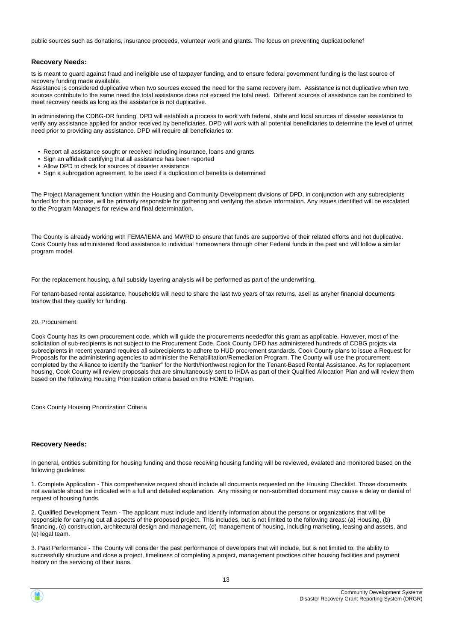public sources such as donations, insurance proceeds, volunteer work and grants. The focus on preventing duplicatioofenef

### **Recovery Needs:**

ts is meant to guard against fraud and ineligible use of taxpayer funding, and to ensure federal government funding is the last source of recovery funding made available.

Assistance is considered duplicative when two sources exceed the need for the same recovery item. Assistance is not duplicative when two sources contribute to the same need the total assistance does not exceed the total need. Different sources of assistance can be combined to meet recovery needs as long as the assistance is not duplicative.

In administering the CDBG-DR funding, DPD will establish a process to work with federal, state and local sources of disaster assistance to verify any assistance applied for and/or received by beneficiaries. DPD will work with all potential beneficiaries to determine the level of unmet need prior to providing any assistance. DPD will require all beneficiaries to:

- Report all assistance sought or received including insurance, loans and grants
- Sign an affidavit certifying that all assistance has been reported
- Allow DPD to check for sources of disaster assistance
- Sign a subrogation agreement, to be used if a duplication of benefits is determined

The Project Management function within the Housing and Community Development divisions of DPD, in conjunction with any subrecipients funded for this purpose, will be primarily responsible for gathering and verifying the above information. Any issues identified will be escalated to the Program Managers for review and final determination.

The County is already working with FEMA/IEMA and MWRD to ensure that funds are supportive of their related efforts and not duplicative. Cook County has administered flood assistance to individual homeowners through other Federal funds in the past and will follow a similar program model.

For the replacement housing, a full subsidy layering analysis will be performed as part of the underwriting.

For tenant-based rental assistance, households will need to share the last two years of tax returns, asell as anyher financial documents toshow that they qualify for funding.

#### 20. Procurement:

Cook County has its own procurement code, which will guide the procurements neededfor this grant as applicable. However, most of the solicitation of sub-recipients is not subject to the Procurement Code. Cook County DPD has administered hundreds of CDBG projcts via subrecipients in recent yearand requires all subrecipients to adhere to HUD procrement standards. Cook County plans to issue a Request for Proposals for the administering agencies to administer the Rehabilitation/Remediation Program. The County will use the procurement completed by the Alliance to identify the "banker" for the North/Northwest region for the Tenant-Based Rental Assistance. As for replacement housing, Cook County will review proposals that are simultaneously sent to IHDA as part of their Qualified Allocation Plan and will review them based on the following Housing Prioritization criteria based on the HOME Program.

Cook County Housing Prioritization Criteria

### **Recovery Needs:**

ln general, entities submitting for housing funding and those receiving housing funding will be reviewed, evalated and monitored based on the following guidelines:

1. Complete Application - This comprehensive request should include all documents requested on the Housing Checklist. Those documents not available shoud be indicated with a full and detailed explanation. Any missing or non-submitted document may cause a delay or denial of request of housing funds.

2. Qualified Development Team - The applicant must include and identify information about the persons or organizations that will be responsible for carrying out all aspects of the proposed project. This includes, but is not limited to the following areas: (a) Housing, (b) financing, (c) construction, architectural design and management, (d) management of housing, including marketing, leasing and assets, and (e) legal team.

3. Past Performance - The County will consider the past performance of developers that will include, but is not limited to: the ability to successfully structure and close a project, timeliness of completing a project, management practices other housing facilities and payment history on the servicing of their loans.

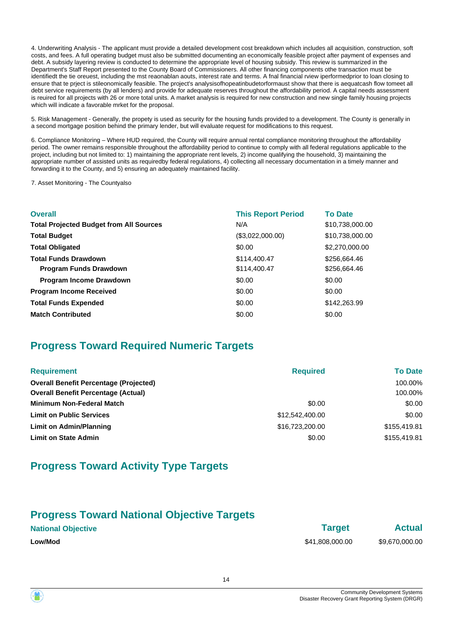4. Underwriting Analysis - The applicant must provide a detailed development cost breakdown which includes all acquisition, construction, soft costs, and fees. A full operating budget must also be submitted documenting an economically feasible project after payment of expenses and debt. A subsidy layering review is conducted to determine the appropriate level of housing subsidy. This review is summarized in the Department's Staff Report presented to the County Board of Commissioners. All other financing components othe transaction must be identifiedt the tie oreuest, including the mst reaonablan aouts, interest rate and terms. A fnal financial rview iperformedprior to loan closing to ensure that te prject is stileonomically feasible. The project's analysisofhopeatinbudetorformaust show that there is aequatcash flow tomeet all debt service requirements (by all lenders) and provide for adequate reserves throughout the affordability period. A capital needs assessment is reuired for all projects with 26 or more total units. A market analysis is required for new construction and new single family housing projects which will indicate a favorable mrket for the proposal.

5. Risk Management - Generally, the propety is used as security for the housing funds provided to a development. The County is generally in a second mortgage position behind the primary lender, but will evaluate request for modifications to this request.

6. Compliance Monitoring – Where HUD required, the County will require annual rental compliance monitoring throughout the affordability period. The owner remains responsible throughout the affordability period to continue to comply with all federal regulations applicable to the project, including but not limited to: 1) maintaining the appropriate rent levels, 2) income qualifying the household, 3) maintaining the appropriate number of assisted units as requiredby federal regulations, 4) collecting all necessary documentation in a timely manner and forwarding it to the County, and 5) ensuring an adequately maintained facility.

7. Asset Monitoring - The Countyalso

| <b>Overall</b>                                 | <b>This Report Period</b> | <b>To Date</b>  |
|------------------------------------------------|---------------------------|-----------------|
| <b>Total Projected Budget from All Sources</b> | N/A                       | \$10,738,000.00 |
| <b>Total Budget</b>                            | (\$3,022,000.00)          | \$10,738,000.00 |
| <b>Total Obligated</b>                         | \$0.00                    | \$2,270,000.00  |
| <b>Total Funds Drawdown</b>                    | \$114,400.47              | \$256,664.46    |
| <b>Program Funds Drawdown</b>                  | \$114,400.47              | \$256,664.46    |
| <b>Program Income Drawdown</b>                 | \$0.00                    | \$0.00          |
| <b>Program Income Received</b>                 | \$0.00                    | \$0.00          |
| <b>Total Funds Expended</b>                    | \$0.00                    | \$142,263.99    |
| <b>Match Contributed</b>                       | \$0.00                    | \$0.00          |

# **Progress Toward Required Numeric Targets**

| <b>Requirement</b>                            | <b>Required</b> | <b>To Date</b> |
|-----------------------------------------------|-----------------|----------------|
| <b>Overall Benefit Percentage (Projected)</b> |                 | 100.00%        |
| <b>Overall Benefit Percentage (Actual)</b>    |                 | 100.00%        |
| <b>Minimum Non-Federal Match</b>              | \$0.00          | \$0.00         |
| <b>Limit on Public Services</b>               | \$12.542.400.00 | \$0.00         |
| Limit on Admin/Planning                       | \$16,723,200.00 | \$155,419.81   |
| <b>Limit on State Admin</b>                   | \$0.00          | \$155,419.81   |

# **Progress Toward Activity Type Targets**

## **Progress Toward National Objective Targets**

| <b>National Objective</b> | <b>Target</b>   | <b>Actual</b>  |
|---------------------------|-----------------|----------------|
| <b>Low/Mod</b>            | \$41,808,000.00 | \$9,670,000.00 |

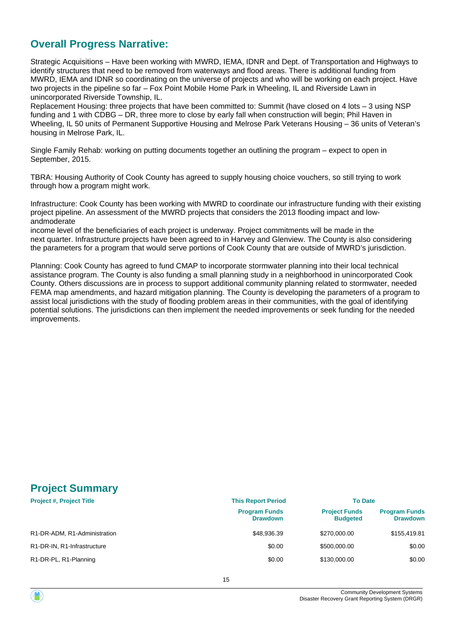# **Overall Progress Narrative:**

Strategic Acquisitions – Have been working with MWRD, IEMA, IDNR and Dept. of Transportation and Highways to identify structures that need to be removed from waterways and flood areas. There is additional funding from MWRD, IEMA and IDNR so coordinating on the universe of projects and who will be working on each project. Have two projects in the pipeline so far – Fox Point Mobile Home Park in Wheeling, IL and Riverside Lawn in unincorporated Riverside Township, IL.

Replacement Housing: three projects that have been committed to: Summit (have closed on 4 lots – 3 using NSP funding and 1 with CDBG – DR, three more to close by early fall when construction will begin; Phil Haven in Wheeling, IL 50 units of Permanent Supportive Housing and Melrose Park Veterans Housing – 36 units of Veteran's housing in Melrose Park, IL.

Single Family Rehab: working on putting documents together an outlining the program – expect to open in September, 2015.

TBRA: Housing Authority of Cook County has agreed to supply housing choice vouchers, so still trying to work through how a program might work.

Infrastructure: Cook County has been working with MWRD to coordinate our infrastructure funding with their existing project pipeline. An assessment of the MWRD projects that considers the 2013 flooding impact and lowandmoderate

income level of the beneficiaries of each project is underway. Project commitments will be made in the next quarter. Infrastructure projects have been agreed to in Harvey and Glenview. The County is also considering the parameters for a program that would serve portions of Cook County that are outside of MWRD's jurisdiction.

Planning: Cook County has agreed to fund CMAP to incorporate stormwater planning into their local technical assistance program. The County is also funding a small planning study in a neighborhood in unincorporated Cook County. Others discussions are in process to support additional community planning related to stormwater, needed FEMA map amendments, and hazard mitigation planning. The County is developing the parameters of a program to assist local jurisdictions with the study of flooding problem areas in their communities, with the goal of identifying potential solutions. The jurisdictions can then implement the needed improvements or seek funding for the needed improvements.

# **Project Summary**

| <b>Project #, Project Title</b> | <b>This Report Period</b>               | <b>To Date</b>                          |                                         |
|---------------------------------|-----------------------------------------|-----------------------------------------|-----------------------------------------|
|                                 | <b>Program Funds</b><br><b>Drawdown</b> | <b>Project Funds</b><br><b>Budgeted</b> | <b>Program Funds</b><br><b>Drawdown</b> |
| R1-DR-ADM, R1-Administration    | \$48,936.39                             | \$270,000.00                            | \$155,419.81                            |
| R1-DR-IN, R1-Infrastructure     | \$0.00                                  | \$500,000.00                            | \$0.00                                  |
| R1-DR-PL, R1-Planning           | \$0.00                                  | \$130,000.00                            | \$0.00                                  |

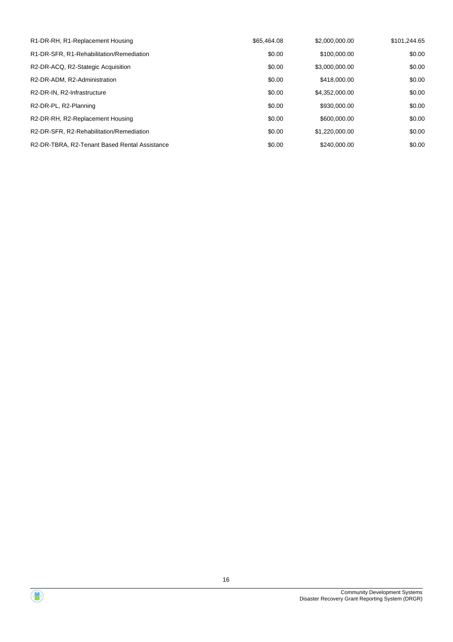| R1-DR-RH, R1-Replacement Housing                      | \$65,464.08 | \$2,000,000,00 | \$101.244.65 |
|-------------------------------------------------------|-------------|----------------|--------------|
| R1-DR-SFR, R1-Rehabilitation/Remediation              | \$0.00      | \$100,000.00   | \$0.00       |
| R2-DR-ACQ, R2-Stategic Acquisition                    | \$0.00      | \$3,000,000.00 | \$0.00       |
| R2-DR-ADM, R2-Administration                          | \$0.00      | \$418,000.00   | \$0.00       |
| R <sub>2</sub> -DR-IN, R <sub>2</sub> -Infrastructure | \$0.00      | \$4.352,000.00 | \$0.00       |
| R2-DR-PL, R2-Planning                                 | \$0.00      | \$930,000.00   | \$0.00       |
| R2-DR-RH, R2-Replacement Housing                      | \$0.00      | \$600,000,00   | \$0.00       |
| R2-DR-SFR, R2-Rehabilitation/Remediation              | \$0.00      | \$1,220,000.00 | \$0.00       |
| R2-DR-TBRA, R2-Tenant Based Rental Assistance         | \$0.00      | \$240,000.00   | \$0.00       |

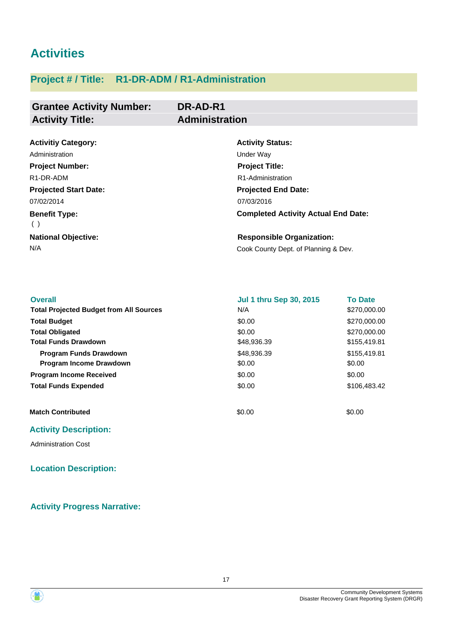# **Activities**

# **Project # / Title: R1-DR-ADM / R1-Administration**

### **Grantee Activity Number: DR-AD-R1 Activity Title: Administration**

| <b>Activitiy Category:</b>   | <b>Activity Status:</b>                    |
|------------------------------|--------------------------------------------|
| Administration               | Under Wav                                  |
| <b>Project Number:</b>       | <b>Project Title:</b>                      |
| R <sub>1</sub> -DR-ADM       | R <sub>1</sub> -Administration             |
| <b>Projected Start Date:</b> | <b>Projected End Date:</b>                 |
| 07/02/2014                   | 07/03/2016                                 |
| <b>Benefit Type:</b><br>( )  | <b>Completed Activity Actual End Date:</b> |
| <b>National Objective:</b>   | <b>Responsible Organization:</b>           |
| N/A                          | Cook County Dept. of Planning & Dev.       |

| <b>Overall</b>                                 | <b>Jul 1 thru Sep 30, 2015</b> | <b>To Date</b> |
|------------------------------------------------|--------------------------------|----------------|
| <b>Total Projected Budget from All Sources</b> | N/A                            | \$270,000.00   |
| <b>Total Budget</b>                            | \$0.00                         | \$270,000.00   |
| <b>Total Obligated</b>                         | \$0.00                         | \$270,000.00   |
| <b>Total Funds Drawdown</b>                    | \$48,936.39                    | \$155,419.81   |
| <b>Program Funds Drawdown</b>                  | \$48,936,39                    | \$155,419.81   |
| <b>Program Income Drawdown</b>                 | \$0.00                         | \$0.00         |
| <b>Program Income Received</b>                 | \$0.00                         | \$0.00         |
| <b>Total Funds Expended</b>                    | \$0.00                         | \$106,483,42   |
| <b>Match Contributed</b>                       | \$0.00                         | \$0.00         |

## **Activity Description:**

Administration Cost

## **Location Description:**

## **Activity Progress Narrative:**

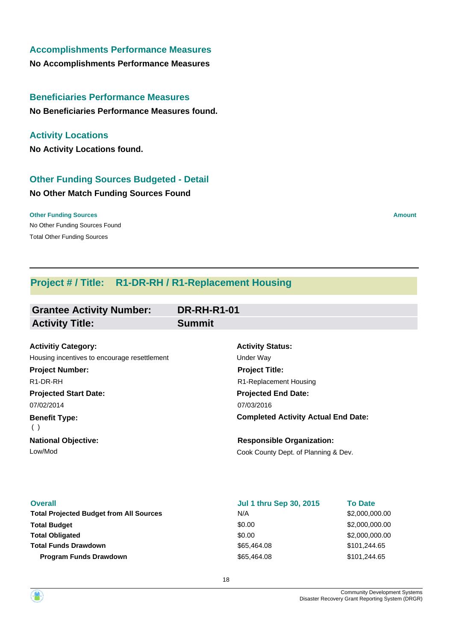## **Accomplishments Performance Measures**

**No Accomplishments Performance Measures**

# **Beneficiaries Performance Measures**

**No Beneficiaries Performance Measures found.**

## **Activity Locations**

**No Activity Locations found.**

# **Other Funding Sources Budgeted - Detail**

## **No Other Match Funding Sources Found**

No Other Funding Sources Found **Other Funding Sources Amount Amount Amount Amount Amount Amount Amount** Total Other Funding Sources

# **Project # / Title: R1-DR-RH / R1-Replacement Housing**

| <b>Grantee Activity Number:</b>              | <b>DR-RH-R1-01</b>                         |
|----------------------------------------------|--------------------------------------------|
| <b>Activity Title:</b>                       | <b>Summit</b>                              |
| <b>Activitiy Category:</b>                   | <b>Activity Status:</b>                    |
| Housing incentives to encourage resettlement | Under Way                                  |
| <b>Project Number:</b>                       | <b>Project Title:</b>                      |
| R <sub>1</sub> -DR-RH                        | R1-Replacement Housing                     |
| <b>Projected Start Date:</b>                 | <b>Projected End Date:</b>                 |
| 07/02/2014                                   | 07/03/2016                                 |
| <b>Benefit Type:</b><br>( )                  | <b>Completed Activity Actual End Date:</b> |
| <b>National Objective:</b>                   | <b>Responsible Organization:</b>           |
| Low/Mod                                      | Cook County Dept. of Planning & Dev.       |

| <b>Overall</b>                                 | <b>Jul 1 thru Sep 30, 2015</b> | <b>To Date</b> |
|------------------------------------------------|--------------------------------|----------------|
| <b>Total Projected Budget from All Sources</b> | N/A                            | \$2,000,000.00 |
| <b>Total Budget</b>                            | \$0.00                         | \$2,000,000.00 |
| <b>Total Obligated</b>                         | \$0.00                         | \$2,000,000.00 |
| <b>Total Funds Drawdown</b>                    | \$65,464.08                    | \$101.244.65   |
| <b>Program Funds Drawdown</b>                  | \$65,464.08                    | \$101.244.65   |